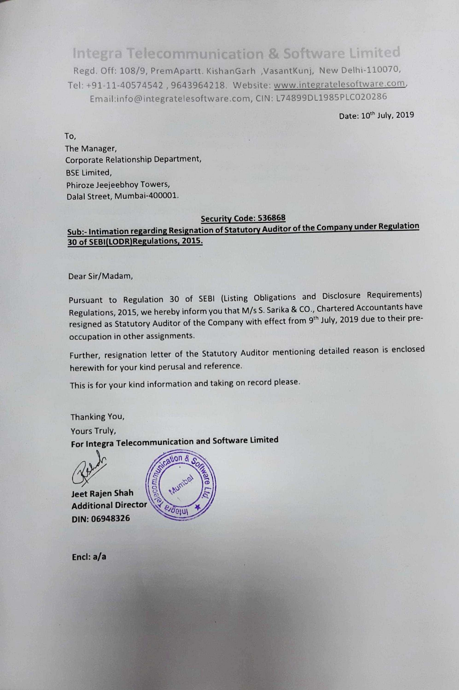.n f ' ecommunication & Regd. Off: 108/9, PremApartt. KishanGarh , VasantKunj, New Delhi-110070, Tel: +91-11-40574542, 9643964218. Website: www.integratelesoftware.com Email:info@integratelesoftware.com, CIN: L748990L1985PLC020286

Date: 10'h July, 2019

To, The Manager, Corporate Relationship Department, BSE Limited, Phiroze Jeejeebhoy Towers, Dalal Street, Mumbai-400001.

## Security Code: 536868

Sub:- Intimation regarding Resignation of Statutory Auditor of the Company under Regulation 30 of SEBI(LODR)Regulations, 2015.

Dear Sir/Madam,

Pursuant to Regulation 30 of SEBI (Listing Obligations and Disclosure Requirements) Regulations, 2015, we hereby inform you that M/s S. Sarika & CO., Chartered Accountants have resigned as Statutory Auditor of the Company with effect from 9<sup>th</sup> July, 2019 due to their preoccupation in other assignments.

Further, resignation letter of the Statutory Auditor mentioning detailed reason is enclosed herewith for your kind perusal and reference.

This is for your kind information and taking on record please.

Thanking You,

Yours Truly,

For Integra Telecommunication and Software Limited

Jeet Rajen Shah Additional Director DIN: 06948326



Encl: a/a